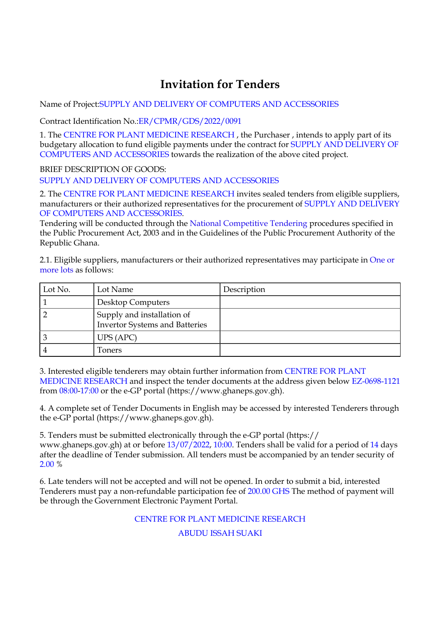## **Invitation for Tenders**

Name of Project:SUPPLY AND DELIVERY OF COMPUTERS AND ACCESSORIES

Contract Identification No.:ER/CPMR/GDS/2022/0091

1. The CENTRE FOR PLANT MEDICINE RESEARCH , the Purchaser , intends to apply part of its budgetary allocation to fund eligible payments under the contract for SUPPLY AND DELIVERY OF COMPUTERS AND ACCESSORIES towards the realization of the above cited project.

BRIEF DESCRIPTION OF GOODS: SUPPLY AND DELIVERY OF COMPUTERS AND ACCESSORIES

2. The CENTRE FOR PLANT MEDICINE RESEARCH invites sealed tenders from eligible suppliers, manufacturers or their authorized representatives for the procurement of SUPPLY AND DELIVERY OF COMPUTERS AND ACCESSORIES.

Tendering will be conducted through the National Competitive Tendering procedures specified in the Public Procurement Act, 2003 and in the Guidelines of the Public Procurement Authority of the Republic Ghana.

2.1. Eligible suppliers, manufacturers or their authorized representatives may participate in One or more lots as follows:

| Lot No. | Lot Name                                                            | Description |
|---------|---------------------------------------------------------------------|-------------|
|         | <b>Desktop Computers</b>                                            |             |
|         | Supply and installation of<br><b>Invertor Systems and Batteries</b> |             |
|         | UPS (APC)                                                           |             |
|         | Toners                                                              |             |

3. Interested eligible tenderers may obtain further information from CENTRE FOR PLANT MEDICINE RESEARCH and inspect the tender documents at the address given below EZ-0698-1121 from 08:00-17:00 or the e-GP portal (https://www.ghaneps.gov.gh).

4. A complete set of Tender Documents in English may be accessed by interested Tenderers through the e-GP portal (https://www.ghaneps.gov.gh).

5. Tenders must be submitted electronically through the e-GP portal (https:// www.ghaneps.gov.gh) at or before 13/07/2022, 10:00. Tenders shall be valid for a period of 14 days after the deadline of Tender submission. All tenders must be accompanied by an tender security of 2.00 %

6. Late tenders will not be accepted and will not be opened. In order to submit a bid, interested Tenderers must pay a non-refundable participation fee of 200.00 GHS The method of payment will be through the Government Electronic Payment Portal.

CENTRE FOR PLANT MEDICINE RESEARCH

ABUDU ISSAH SUAKI